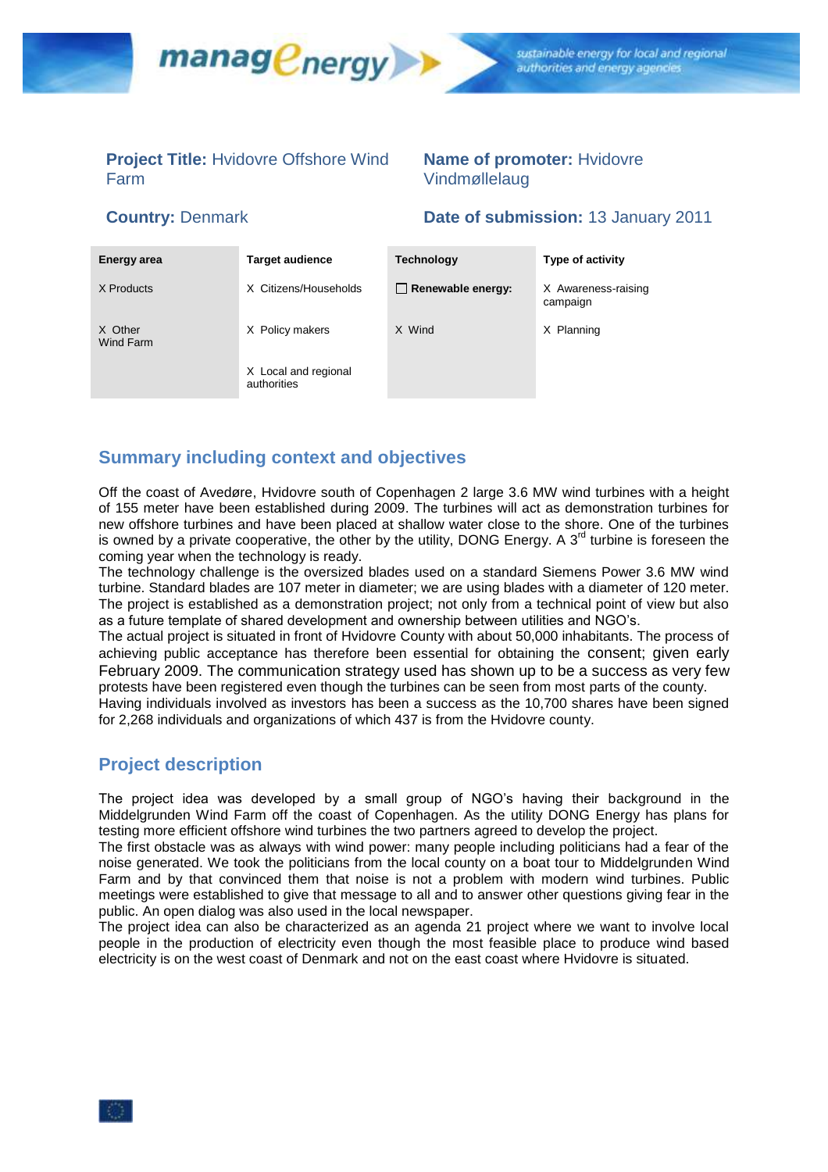

# **Project Title:** Hvidovre Offshore Wind Farm

# **Name of promoter:** Hvidovre Vindmøllelaug

# **Country:** Denmark **Date of submission:** 13 January 2011

| Energy area          | <b>Target audience</b>              | <b>Technology</b>        | Type of activity                |
|----------------------|-------------------------------------|--------------------------|---------------------------------|
| X Products           | X Citizens/Households               | $\Box$ Renewable energy: | X Awareness-raising<br>campaign |
| X Other<br>Wind Farm | X Policy makers                     | X Wind                   | X Planning                      |
|                      | X Local and regional<br>authorities |                          |                                 |

# **Summary including context and objectives**

Off the coast of Avedøre, Hvidovre south of Copenhagen 2 large 3.6 MW wind turbines with a height of 155 meter have been established during 2009. The turbines will act as demonstration turbines for new offshore turbines and have been placed at shallow water close to the shore. One of the turbines is owned by a private cooperative, the other by the utility, DONG Energy. A  $3<sup>rd</sup>$  turbine is foreseen the coming year when the technology is ready.

The technology challenge is the oversized blades used on a standard Siemens Power 3.6 MW wind turbine. Standard blades are 107 meter in diameter; we are using blades with a diameter of 120 meter. The project is established as a demonstration project; not only from a technical point of view but also as a future template of shared development and ownership between utilities and NGO's.

The actual project is situated in front of Hvidovre County with about 50,000 inhabitants. The process of achieving public acceptance has therefore been essential for obtaining the consent; given early February 2009. The communication strategy used has shown up to be a success as very few protests have been registered even though the turbines can be seen from most parts of the county.

Having individuals involved as investors has been a success as the 10,700 shares have been signed for 2,268 individuals and organizations of which 437 is from the Hvidovre county.

# **Project description**

The project idea was developed by a small group of NGO's having their background in the Middelgrunden Wind Farm off the coast of Copenhagen. As the utility DONG Energy has plans for testing more efficient offshore wind turbines the two partners agreed to develop the project.

The first obstacle was as always with wind power: many people including politicians had a fear of the noise generated. We took the politicians from the local county on a boat tour to Middelgrunden Wind Farm and by that convinced them that noise is not a problem with modern wind turbines. Public meetings were established to give that message to all and to answer other questions giving fear in the public. An open dialog was also used in the local newspaper.

The project idea can also be characterized as an agenda 21 project where we want to involve local people in the production of electricity even though the most feasible place to produce wind based electricity is on the west coast of Denmark and not on the east coast where Hvidovre is situated.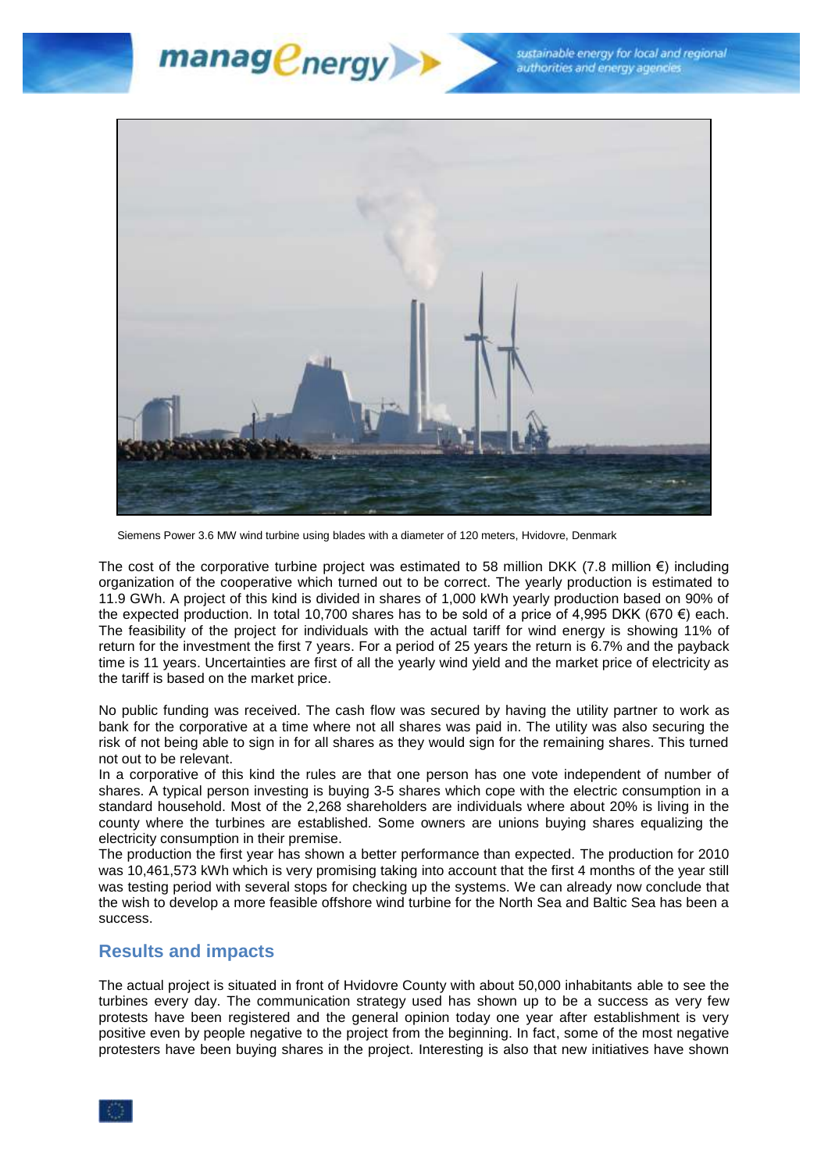sustainable energy for local and regional authorities and energy agencies





Siemens Power 3.6 MW wind turbine using blades with a diameter of 120 meters, Hvidovre, Denmark

The cost of the corporative turbine project was estimated to 58 million DKK (7.8 million  $\epsilon$ ) including organization of the cooperative which turned out to be correct. The yearly production is estimated to 11.9 GWh. A project of this kind is divided in shares of 1,000 kWh yearly production based on 90% of the expected production. In total 10,700 shares has to be sold of a price of 4,995 DKK (670 €) each. The feasibility of the project for individuals with the actual tariff for wind energy is showing 11% of return for the investment the first 7 years. For a period of 25 years the return is 6.7% and the payback time is 11 years. Uncertainties are first of all the yearly wind yield and the market price of electricity as the tariff is based on the market price.

No public funding was received. The cash flow was secured by having the utility partner to work as bank for the corporative at a time where not all shares was paid in. The utility was also securing the risk of not being able to sign in for all shares as they would sign for the remaining shares. This turned not out to be relevant.

In a corporative of this kind the rules are that one person has one vote independent of number of shares. A typical person investing is buying 3-5 shares which cope with the electric consumption in a standard household. Most of the 2,268 shareholders are individuals where about 20% is living in the county where the turbines are established. Some owners are unions buying shares equalizing the electricity consumption in their premise.

The production the first year has shown a better performance than expected. The production for 2010 was 10,461,573 kWh which is very promising taking into account that the first 4 months of the year still was testing period with several stops for checking up the systems. We can already now conclude that the wish to develop a more feasible offshore wind turbine for the North Sea and Baltic Sea has been a success.

### **Results and impacts**

The actual project is situated in front of Hvidovre County with about 50,000 inhabitants able to see the turbines every day. The communication strategy used has shown up to be a success as very few protests have been registered and the general opinion today one year after establishment is very positive even by people negative to the project from the beginning. In fact, some of the most negative protesters have been buying shares in the project. Interesting is also that new initiatives have shown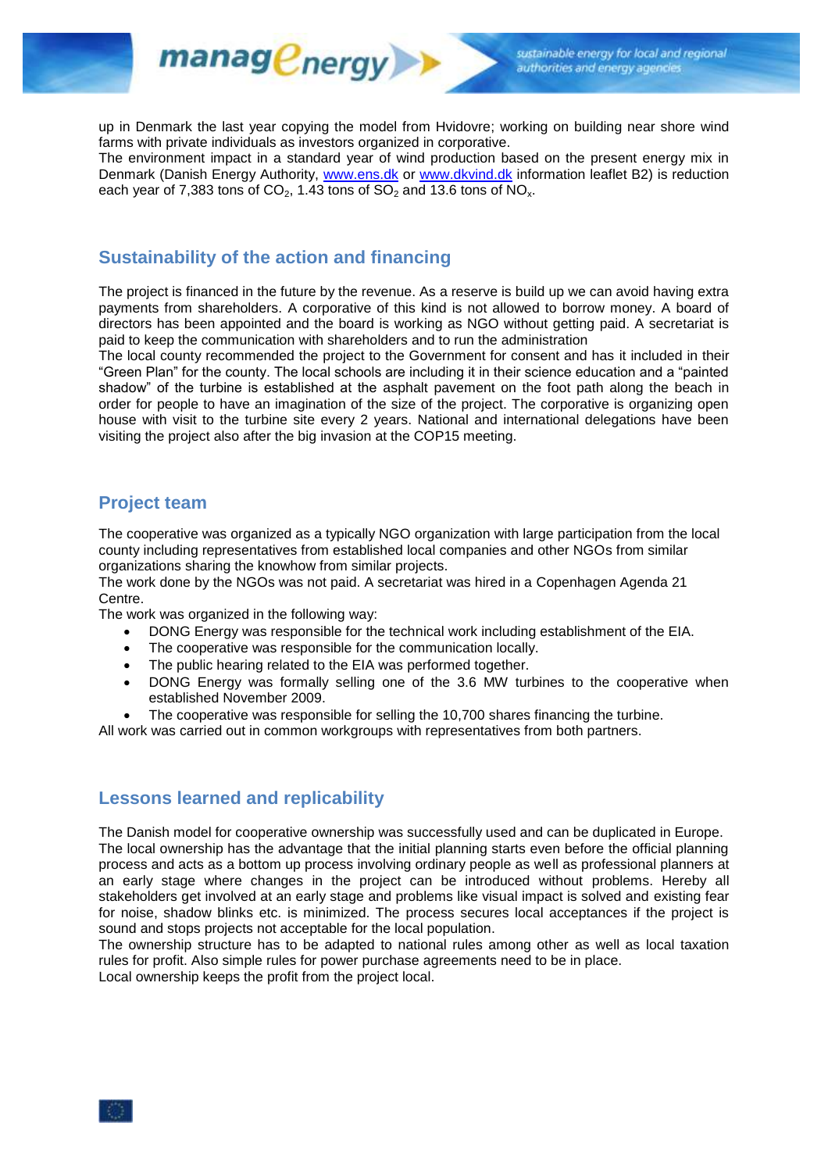

up in Denmark the last year copying the model from Hvidovre; working on building near shore wind farms with private individuals as investors organized in corporative.

The environment impact in a standard year of wind production based on the present energy mix in Denmark (Danish Energy Authority, [www.ens.dk](http://www.ens.dk/) or [www.dkvind.dk](http://www.dkvind.dk/) information leaflet B2) is reduction each year of 7,383 tons of  $CO<sub>2</sub>$ , 1.43 tons of  $SO<sub>2</sub>$  and 13.6 tons of  $NO<sub>x</sub>$ .

# **Sustainability of the action and financing**

managenergy

The project is financed in the future by the revenue. As a reserve is build up we can avoid having extra payments from shareholders. A corporative of this kind is not allowed to borrow money. A board of directors has been appointed and the board is working as NGO without getting paid. A secretariat is paid to keep the communication with shareholders and to run the administration

The local county recommended the project to the Government for consent and has it included in their "Green Plan" for the county. The local schools are including it in their science education and a "painted shadow" of the turbine is established at the asphalt pavement on the foot path along the beach in order for people to have an imagination of the size of the project. The corporative is organizing open house with visit to the turbine site every 2 years. National and international delegations have been visiting the project also after the big invasion at the COP15 meeting.

# **Project team**

The cooperative was organized as a typically NGO organization with large participation from the local county including representatives from established local companies and other NGOs from similar organizations sharing the knowhow from similar projects.

The work done by the NGOs was not paid. A secretariat was hired in a Copenhagen Agenda 21 Centre.

The work was organized in the following way:

- DONG Energy was responsible for the technical work including establishment of the EIA.
- The cooperative was responsible for the communication locally.
- The public hearing related to the EIA was performed together.
- DONG Energy was formally selling one of the 3.6 MW turbines to the cooperative when established November 2009.
- The cooperative was responsible for selling the 10,700 shares financing the turbine.

All work was carried out in common workgroups with representatives from both partners.

# **Lessons learned and replicability**

The Danish model for cooperative ownership was successfully used and can be duplicated in Europe. The local ownership has the advantage that the initial planning starts even before the official planning process and acts as a bottom up process involving ordinary people as well as professional planners at an early stage where changes in the project can be introduced without problems. Hereby all stakeholders get involved at an early stage and problems like visual impact is solved and existing fear for noise, shadow blinks etc. is minimized. The process secures local acceptances if the project is sound and stops projects not acceptable for the local population.

The ownership structure has to be adapted to national rules among other as well as local taxation rules for profit. Also simple rules for power purchase agreements need to be in place. Local ownership keeps the profit from the project local.